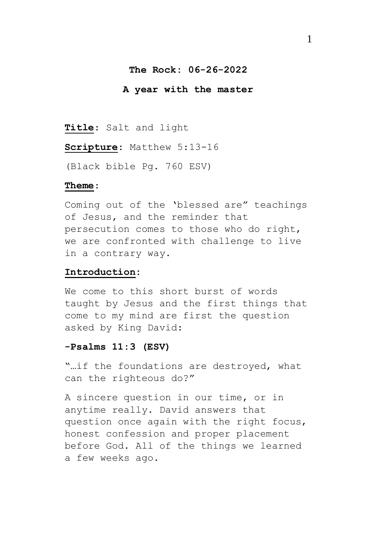## **The Rock: 06-26-2022**

#### **A year with the master**

**Title**: Salt and light

**Scripture**: Matthew 5:13-16

(Black bible Pg. 760 ESV)

### **Theme**:

Coming out of the 'blessed are" teachings of Jesus, and the reminder that persecution comes to those who do right, we are confronted with challenge to live in a contrary way.

## **Introduction:**

We come to this short burst of words taught by Jesus and the first things that come to my mind are first the question asked by King David:

## **-Psalms 11:3 (ESV)**

"…if the foundations are destroyed, what can the righteous do?"

A sincere question in our time, or in anytime really. David answers that question once again with the right focus, honest confession and proper placement before God. All of the things we learned a few weeks ago.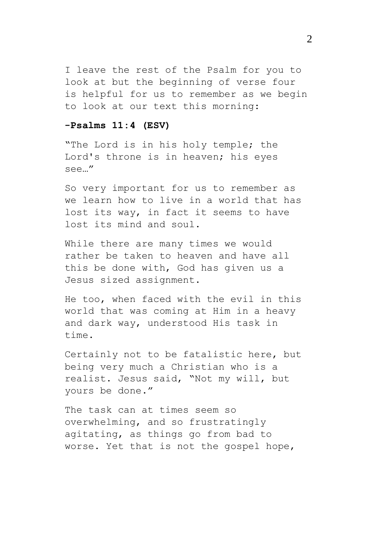I leave the rest of the Psalm for you to look at but the beginning of verse four is helpful for us to remember as we begin to look at our text this morning:

## **-Psalms 11:4 (ESV)**

"The Lord is in his holy temple; the Lord's throne is in heaven; his eyes see…"

So very important for us to remember as we learn how to live in a world that has lost its way, in fact it seems to have lost its mind and soul.

While there are many times we would rather be taken to heaven and have all this be done with, God has given us a Jesus sized assignment.

He too, when faced with the evil in this world that was coming at Him in a heavy and dark way, understood His task in time.

Certainly not to be fatalistic here, but being very much a Christian who is a realist. Jesus said, "Not my will, but yours be done."

The task can at times seem so overwhelming, and so frustratingly agitating, as things go from bad to worse. Yet that is not the gospel hope,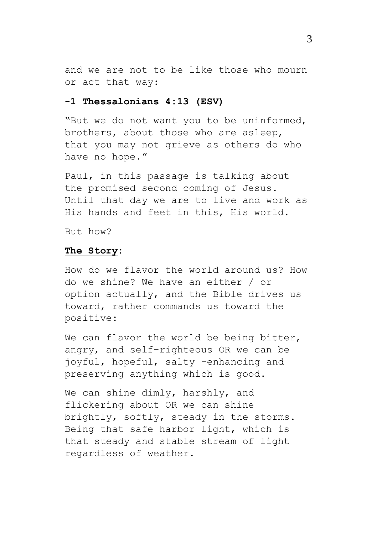and we are not to be like those who mourn or act that way:

## **-1 Thessalonians 4:13 (ESV)**

"But we do not want you to be uninformed, brothers, about those who are asleep, that you may not grieve as others do who have no hope."

Paul, in this passage is talking about the promised second coming of Jesus. Until that day we are to live and work as His hands and feet in this, His world.

But how?

#### **The Story:**

How do we flavor the world around us? How do we shine? We have an either / or option actually, and the Bible drives us toward, rather commands us toward the positive:

We can flavor the world be being bitter, angry, and self-righteous OR we can be joyful, hopeful, salty -enhancing and preserving anything which is good.

We can shine dimly, harshly, and flickering about OR we can shine brightly, softly, steady in the storms. Being that safe harbor light, which is that steady and stable stream of light regardless of weather.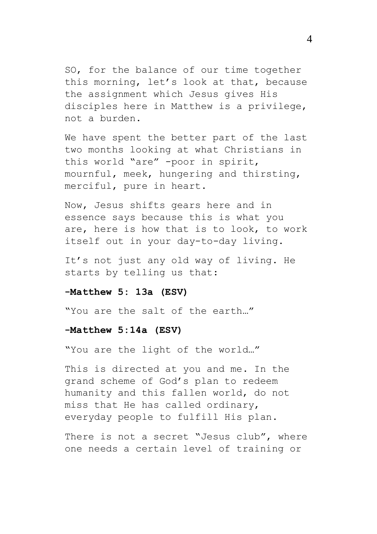SO, for the balance of our time together this morning, let's look at that, because the assignment which Jesus gives His disciples here in Matthew is a privilege, not a burden.

We have spent the better part of the last two months looking at what Christians in this world "are" -poor in spirit, mournful, meek, hungering and thirsting, merciful, pure in heart.

Now, Jesus shifts gears here and in essence says because this is what you are, here is how that is to look, to work itself out in your day-to-day living.

It's not just any old way of living. He starts by telling us that:

### **-Matthew 5: 13a (ESV)**

"You are the salt of the earth…"

#### **-Matthew 5:14a (ESV)**

"You are the light of the world…"

This is directed at you and me. In the grand scheme of God's plan to redeem humanity and this fallen world, do not miss that He has called ordinary, everyday people to fulfill His plan.

There is not a secret "Jesus club", where one needs a certain level of training or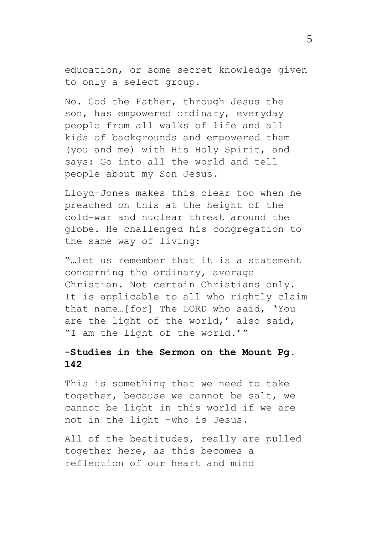education, or some secret knowledge given to only a select group.

No. God the Father, through Jesus the son, has empowered ordinary, everyday people from all walks of life and all kids of backgrounds and empowered them (you and me) with His Holy Spirit, and says: Go into all the world and tell people about my Son Jesus.

Lloyd-Jones makes this clear too when he preached on this at the height of the cold-war and nuclear threat around the globe. He challenged his congregation to the same way of living:

"…let us remember that it is a statement concerning the ordinary, average Christian. Not certain Christians only. It is applicable to all who rightly claim that name…[for] The LORD who said, 'You are the light of the world,' also said, "I am the light of the world.'"

# **-Studies in the Sermon on the Mount Pg. 142**

This is something that we need to take together, because we cannot be salt, we cannot be light in this world if we are not in the light -who is Jesus.

All of the beatitudes, really are pulled together here, as this becomes a reflection of our heart and mind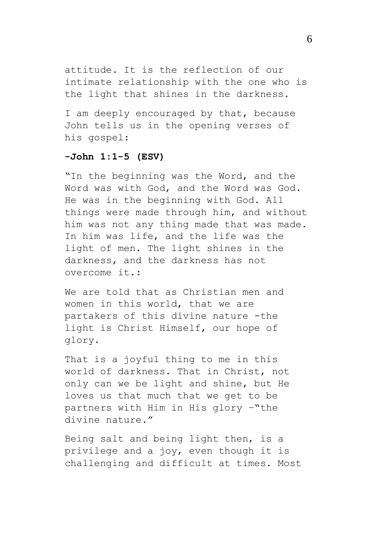attitude. It is the reflection of our intimate relationship with the one who is the light that shines in the darkness.

I am deeply encouraged by that, because John tells us in the opening verses of his gospel:

## **-John 1:1-5 (ESV)**

"In the beginning was the Word, and the Word was with God, and the Word was God. He was in the beginning with God. All things were made through him, and without him was not any thing made that was made. In him was life, and the life was the light of men. The light shines in the darkness, and the darkness has not overcome it.:

We are told that as Christian men and women in this world, that we are partakers of this divine nature -the light is Christ Himself, our hope of glory.

That is a joyful thing to me in this world of darkness. That in Christ, not only can we be light and shine, but He loves us that much that we get to be partners with Him in His glory –"the divine nature."

Being salt and being light then, is a privilege and a joy, even though it is challenging and difficult at times. Most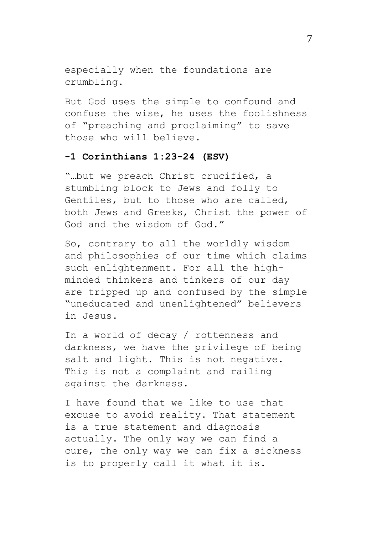especially when the foundations are crumbling.

But God uses the simple to confound and confuse the wise, he uses the foolishness of "preaching and proclaiming" to save those who will believe.

## **-1 Corinthians 1:23-24 (ESV)**

"…but we preach Christ crucified, a stumbling block to Jews and folly to Gentiles, but to those who are called, both Jews and Greeks, Christ the power of God and the wisdom of God."

So, contrary to all the worldly wisdom and philosophies of our time which claims such enlightenment. For all the highminded thinkers and tinkers of our day are tripped up and confused by the simple "uneducated and unenlightened" believers in Jesus.

In a world of decay / rottenness and darkness, we have the privilege of being salt and light. This is not negative. This is not a complaint and railing against the darkness.

I have found that we like to use that excuse to avoid reality. That statement is a true statement and diagnosis actually. The only way we can find a cure, the only way we can fix a sickness is to properly call it what it is.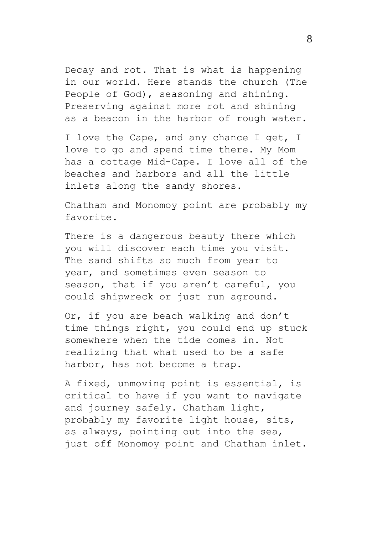Decay and rot. That is what is happening in our world. Here stands the church (The People of God), seasoning and shining. Preserving against more rot and shining as a beacon in the harbor of rough water.

I love the Cape, and any chance I get, I love to go and spend time there. My Mom has a cottage Mid-Cape. I love all of the beaches and harbors and all the little inlets along the sandy shores.

Chatham and Monomoy point are probably my favorite.

There is a dangerous beauty there which you will discover each time you visit. The sand shifts so much from year to year, and sometimes even season to season, that if you aren't careful, you could shipwreck or just run aground.

Or, if you are beach walking and don't time things right, you could end up stuck somewhere when the tide comes in. Not realizing that what used to be a safe harbor, has not become a trap.

A fixed, unmoving point is essential, is critical to have if you want to navigate and journey safely. Chatham light, probably my favorite light house, sits, as always, pointing out into the sea, just off Monomoy point and Chatham inlet.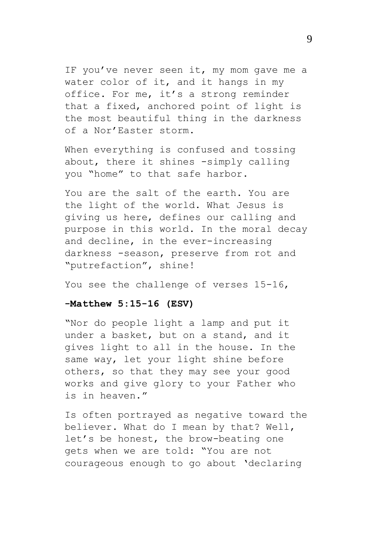IF you've never seen it, my mom gave me a water color of it, and it hangs in my office. For me, it's a strong reminder that a fixed, anchored point of light is the most beautiful thing in the darkness of a Nor'Easter storm.

When everything is confused and tossing about, there it shines -simply calling you "home" to that safe harbor.

You are the salt of the earth. You are the light of the world. What Jesus is giving us here, defines our calling and purpose in this world. In the moral decay and decline, in the ever-increasing darkness -season, preserve from rot and "putrefaction", shine!

You see the challenge of verses 15-16,

## **-Matthew 5:15-16 (ESV)**

"Nor do people light a lamp and put it under a basket, but on a stand, and it gives light to all in the house. In the same way, let your light shine before others, so that they may see your good works and give glory to your Father who is in heaven."

Is often portrayed as negative toward the believer. What do I mean by that? Well, let's be honest, the brow-beating one gets when we are told: "You are not courageous enough to go about 'declaring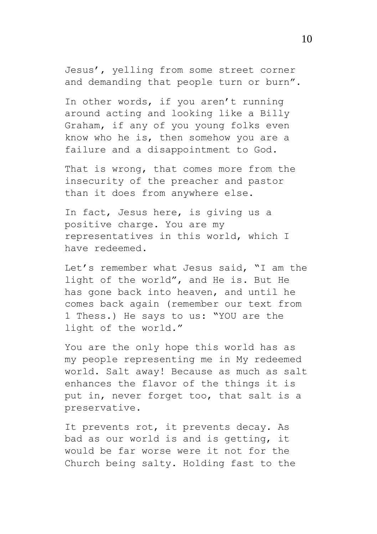Jesus', yelling from some street corner and demanding that people turn or burn".

In other words, if you aren't running around acting and looking like a Billy Graham, if any of you young folks even know who he is, then somehow you are a failure and a disappointment to God.

That is wrong, that comes more from the insecurity of the preacher and pastor than it does from anywhere else.

In fact, Jesus here, is giving us a positive charge. You are my representatives in this world, which I have redeemed.

Let's remember what Jesus said, "I am the light of the world", and He is. But He has gone back into heaven, and until he comes back again (remember our text from 1 Thess.) He says to us: "YOU are the light of the world."

You are the only hope this world has as my people representing me in My redeemed world. Salt away! Because as much as salt enhances the flavor of the things it is put in, never forget too, that salt is a preservative.

It prevents rot, it prevents decay. As bad as our world is and is getting, it would be far worse were it not for the Church being salty. Holding fast to the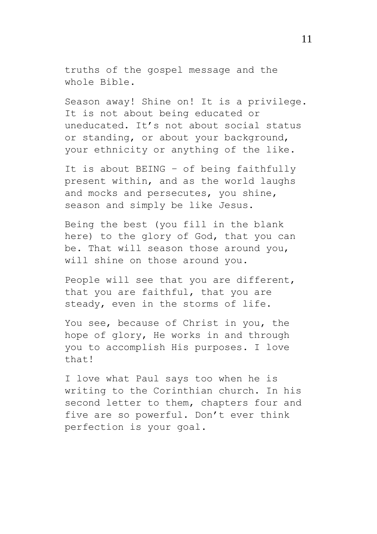truths of the gospel message and the whole Bible.

Season away! Shine on! It is a privilege. It is not about being educated or uneducated. It's not about social status or standing, or about your background, your ethnicity or anything of the like.

It is about BEING – of being faithfully present within, and as the world laughs and mocks and persecutes, you shine, season and simply be like Jesus.

Being the best (you fill in the blank here) to the glory of God, that you can be. That will season those around you, will shine on those around you.

People will see that you are different, that you are faithful, that you are steady, even in the storms of life.

You see, because of Christ in you, the hope of glory, He works in and through you to accomplish His purposes. I love that!

I love what Paul says too when he is writing to the Corinthian church. In his second letter to them, chapters four and five are so powerful. Don't ever think perfection is your goal.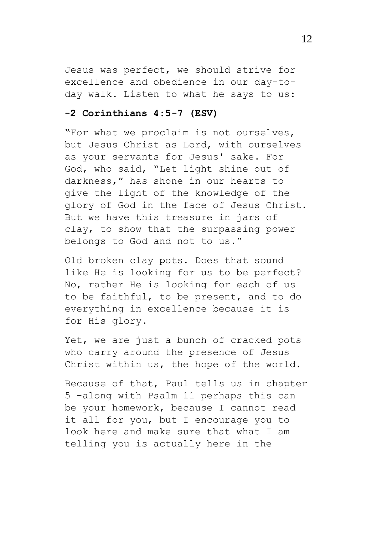Jesus was perfect, we should strive for excellence and obedience in our day-today walk. Listen to what he says to us:

## **-2 Corinthians 4:5-7 (ESV)**

"For what we proclaim is not ourselves, but Jesus Christ as Lord, with ourselves as your servants for Jesus' sake. For God, who said, "Let light shine out of darkness," has shone in our hearts to give the light of the knowledge of the glory of God in the face of Jesus Christ. But we have this treasure in jars of clay, to show that the surpassing power belongs to God and not to us."

Old broken clay pots. Does that sound like He is looking for us to be perfect? No, rather He is looking for each of us to be faithful, to be present, and to do everything in excellence because it is for His glory.

Yet, we are just a bunch of cracked pots who carry around the presence of Jesus Christ within us, the hope of the world.

Because of that, Paul tells us in chapter 5 -along with Psalm 11 perhaps this can be your homework, because I cannot read it all for you, but I encourage you to look here and make sure that what I am telling you is actually here in the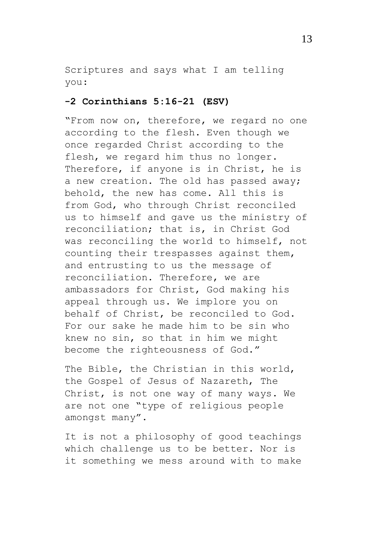Scriptures and says what I am telling you:

## **-2 Corinthians 5:16-21 (ESV)**

"From now on, therefore, we regard no one according to the flesh. Even though we once regarded Christ according to the flesh, we regard him thus no longer. Therefore, if anyone is in Christ, he is a new creation. The old has passed away; behold, the new has come. All this is from God, who through Christ reconciled us to himself and gave us the ministry of reconciliation; that is, in Christ God was reconciling the world to himself, not counting their trespasses against them, and entrusting to us the message of reconciliation. Therefore, we are ambassadors for Christ, God making his appeal through us. We implore you on behalf of Christ, be reconciled to God. For our sake he made him to be sin who knew no sin, so that in him we might become the righteousness of God."

The Bible, the Christian in this world, the Gospel of Jesus of Nazareth, The Christ, is not one way of many ways. We are not one "type of religious people amongst many".

It is not a philosophy of good teachings which challenge us to be better. Nor is it something we mess around with to make